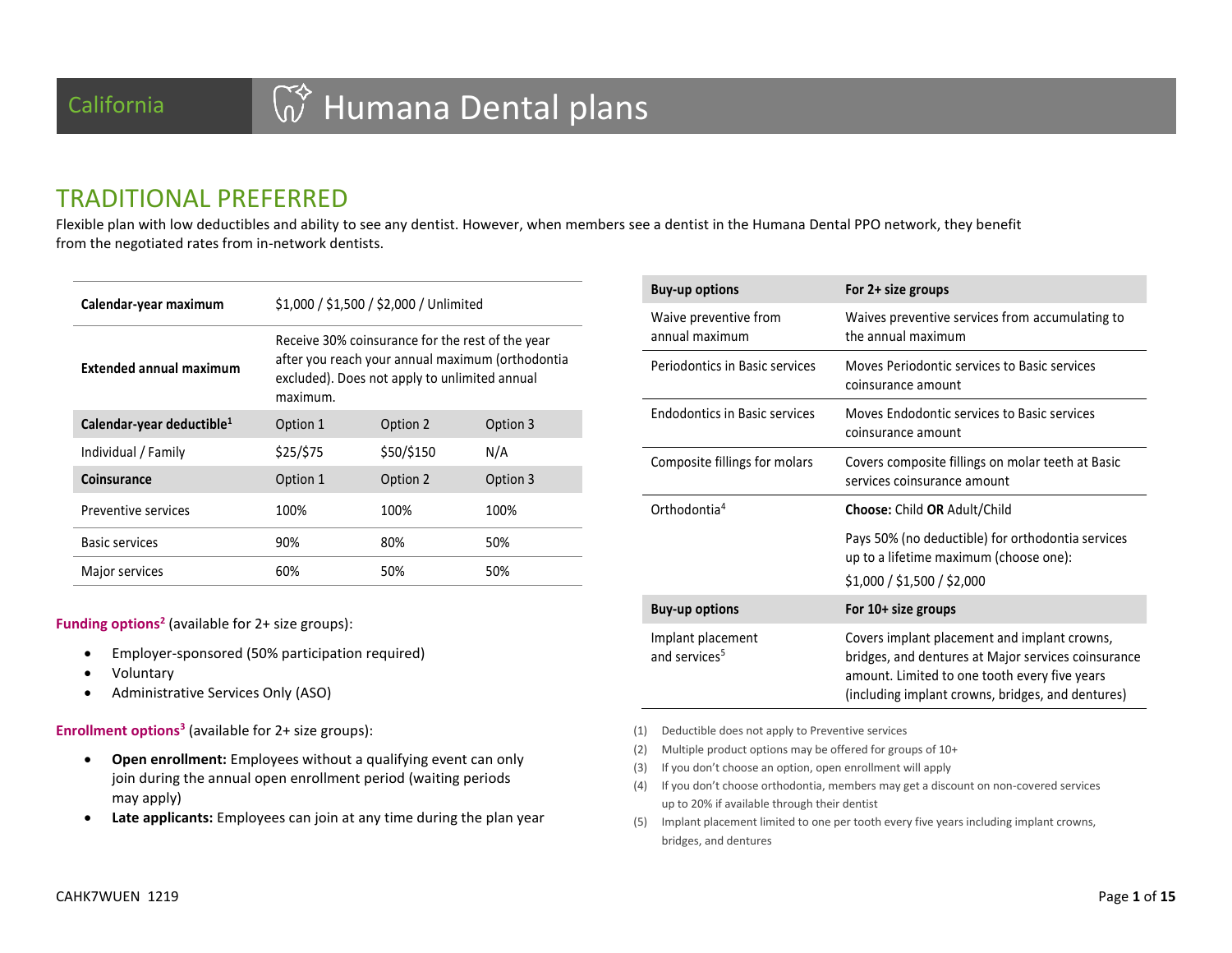### TRADITIONAL PREFERRED

Flexible plan with low deductibles and ability to see any dentist. However, when members see a dentist in the Humana Dental PPO network, they benefit from the negotiated rates from in-network dentists.

| Calendar-year maximum                 | \$1,000 / \$1,500 / \$2,000 / Unlimited                                                                                                                           |            |          |  |  |  |
|---------------------------------------|-------------------------------------------------------------------------------------------------------------------------------------------------------------------|------------|----------|--|--|--|
| <b>Extended annual maximum</b>        | Receive 30% coinsurance for the rest of the year<br>after you reach your annual maximum (orthodontia<br>excluded). Does not apply to unlimited annual<br>maximum. |            |          |  |  |  |
| Calendar-year deductible <sup>1</sup> | Option 1                                                                                                                                                          | Option 2   | Option 3 |  |  |  |
| Individual / Family                   | \$25/\$75                                                                                                                                                         | \$50/\$150 | N/A      |  |  |  |
| Coinsurance                           | Option 1                                                                                                                                                          | Option 2   | Option 3 |  |  |  |
| Preventive services                   | 100%                                                                                                                                                              | 100%       | 100%     |  |  |  |
| <b>Basic services</b>                 | 90%                                                                                                                                                               | 80%<br>50% |          |  |  |  |
| Major services                        | 60%                                                                                                                                                               | 50%        | 50%      |  |  |  |

**Funding options<sup>2</sup>** (available for 2+ size groups):

- Employer-sponsored (50% participation required)
- Voluntary
- Administrative Services Only (ASO)

**Enrollment options<sup>3</sup>** (available for 2+ size groups):

- **Open enrollment:** Employees without a qualifying event can only join during the annual open enrollment period (waiting periods may apply)
- **Late applicants:** Employees can join at any time during the plan year

| <b>Buy-up options</b>                          | For 2+ size groups                                                                                                                                                                                        |
|------------------------------------------------|-----------------------------------------------------------------------------------------------------------------------------------------------------------------------------------------------------------|
| Waive preventive from<br>annual maximum        | Waives preventive services from accumulating to<br>the annual maximum                                                                                                                                     |
| Periodontics in Basic services                 | Moves Periodontic services to Basic services<br>coinsurance amount                                                                                                                                        |
| <b>Endodontics in Basic services</b>           | Moves Endodontic services to Basic services<br>coinsurance amount                                                                                                                                         |
| Composite fillings for molars                  | Covers composite fillings on molar teeth at Basic<br>services coinsurance amount                                                                                                                          |
| Orthodontia <sup>4</sup>                       | <b>Choose: Child OR Adult/Child</b>                                                                                                                                                                       |
|                                                | Pays 50% (no deductible) for orthodontia services<br>up to a lifetime maximum (choose one):<br>\$1,000 / \$1,500 / \$2,000                                                                                |
| <b>Buy-up options</b>                          | For 10+ size groups                                                                                                                                                                                       |
| Implant placement<br>and services <sup>5</sup> | Covers implant placement and implant crowns,<br>bridges, and dentures at Major services coinsurance<br>amount. Limited to one tooth every five years<br>(including implant crowns, bridges, and dentures) |

- (1) Deductible does not apply to Preventive services
- (2) Multiple product options may be offered for groups of 10+
- (3) If you don't choose an option, open enrollment will apply
- (4) If you don't choose orthodontia, members may get a discount on non-covered services up to 20% if available through their dentist
- (5) Implant placement limited to one per tooth every five years including implant crowns, bridges, and dentures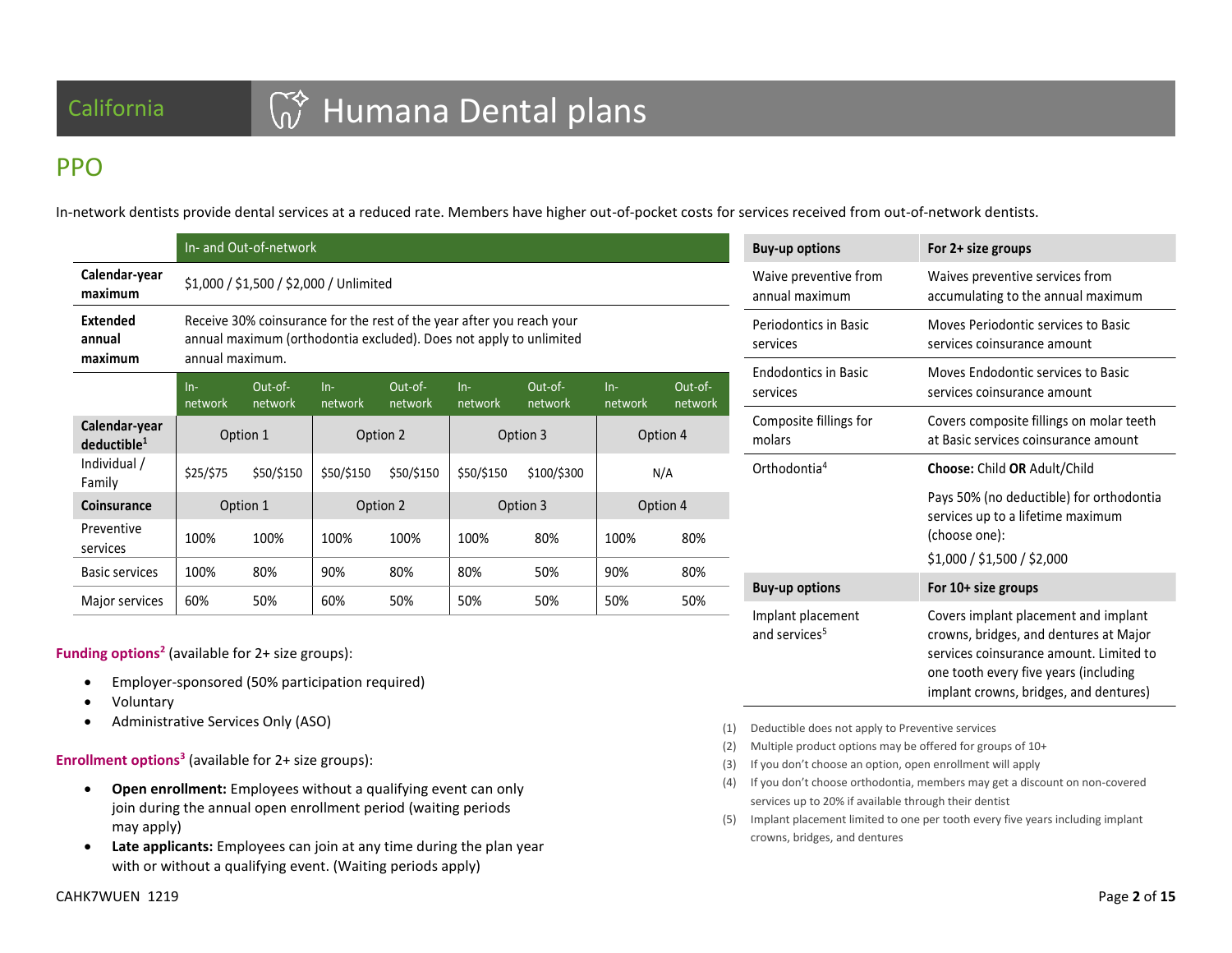# California **GOV** Humana Dental plans

## PPO

In-network dentists provide dental services at a reduced rate. Members have higher out-of-pocket costs for services received from out-of-network dentists.

|                                          | In- and Out-of-network                                                                                                                                         |                                         |            |            |            |             |          |     |
|------------------------------------------|----------------------------------------------------------------------------------------------------------------------------------------------------------------|-----------------------------------------|------------|------------|------------|-------------|----------|-----|
| Calendar-year<br>maximum                 |                                                                                                                                                                | \$1,000 / \$1,500 / \$2,000 / Unlimited |            |            |            |             |          |     |
| <b>Extended</b><br>annual<br>maximum     | Receive 30% coinsurance for the rest of the year after you reach your<br>annual maximum (orthodontia excluded). Does not apply to unlimited<br>annual maximum. |                                         |            |            |            |             |          |     |
|                                          | Out-of-<br>Out-of-<br>Out-of-<br>Out-of-<br>$In-$<br>$In-$<br>$In-$<br>$In-$<br>network<br>network<br>network<br>network<br>network<br>network<br>network      |                                         |            |            |            |             | network  |     |
| Calendar-year<br>deductible <sup>1</sup> |                                                                                                                                                                | Option 1                                | Option 2   |            | Option 3   |             | Option 4 |     |
| Individual /<br>Family                   | \$25/\$75                                                                                                                                                      | \$50/\$150                              | \$50/\$150 | \$50/\$150 | \$50/\$150 | \$100/\$300 |          | N/A |
| <b>Coinsurance</b>                       |                                                                                                                                                                | Option 1                                | Option 2   |            | Option 3   |             | Option 4 |     |
| Preventive<br>services                   | 100%                                                                                                                                                           | 100%                                    | 100%       | 100%       | 100%       | 80%         | 100%     | 80% |
| Basic services                           | 100%                                                                                                                                                           | 80%                                     | 90%        | 80%        | 80%        | 50%         | 90%      | 80% |
| Major services                           | 60%                                                                                                                                                            | 50%                                     | 60%        | 50%        | 50%        | 50%         | 50%      | 50% |

**Funding options<sup>2</sup>** (available for 2+ size groups):

- Employer-sponsored (50% participation required)
- Voluntary
- Administrative Services Only (ASO)

**Enrollment options<sup>3</sup>** (available for 2+ size groups):

- **Open enrollment:** Employees without a qualifying event can only join during the annual open enrollment period (waiting periods may apply)
- **Late applicants:** Employees can join at any time during the plan year with or without a qualifying event. (Waiting periods apply)

| <b>Buy-up options</b>                          | For 2+ size groups                                                                                                                                                                                           |
|------------------------------------------------|--------------------------------------------------------------------------------------------------------------------------------------------------------------------------------------------------------------|
| Waive preventive from<br>annual maximum        | Waives preventive services from<br>accumulating to the annual maximum                                                                                                                                        |
| Periodontics in Basic<br>services              | Moves Periodontic services to Basic<br>services coinsurance amount                                                                                                                                           |
| <b>Endodontics in Basic</b><br>services        | Moves Endodontic services to Basic<br>services coinsurance amount                                                                                                                                            |
| Composite fillings for<br>molars               | Covers composite fillings on molar teeth<br>at Basic services coinsurance amount                                                                                                                             |
| Orthodontia <sup>4</sup>                       | Choose: Child OR Adult/Child                                                                                                                                                                                 |
|                                                | Pays 50% (no deductible) for orthodontia<br>services up to a lifetime maximum<br>(choose one):                                                                                                               |
|                                                | \$1,000 / \$1,500 / \$2,000                                                                                                                                                                                  |
| <b>Buy-up options</b>                          | For 10+ size groups                                                                                                                                                                                          |
| Implant placement<br>and services <sup>5</sup> | Covers implant placement and implant<br>crowns, bridges, and dentures at Major<br>services coinsurance amount. Limited to<br>one tooth every five years (including<br>implant crowns, bridges, and dentures) |

- (1) Deductible does not apply to Preventive services
- (2) Multiple product options may be offered for groups of 10+
- (3) If you don't choose an option, open enrollment will apply
- (4) If you don't choose orthodontia, members may get a discount on non-covered services up to 20% if available through their dentist
- (5) Implant placement limited to one per tooth every five years including implant crowns, bridges, and dentures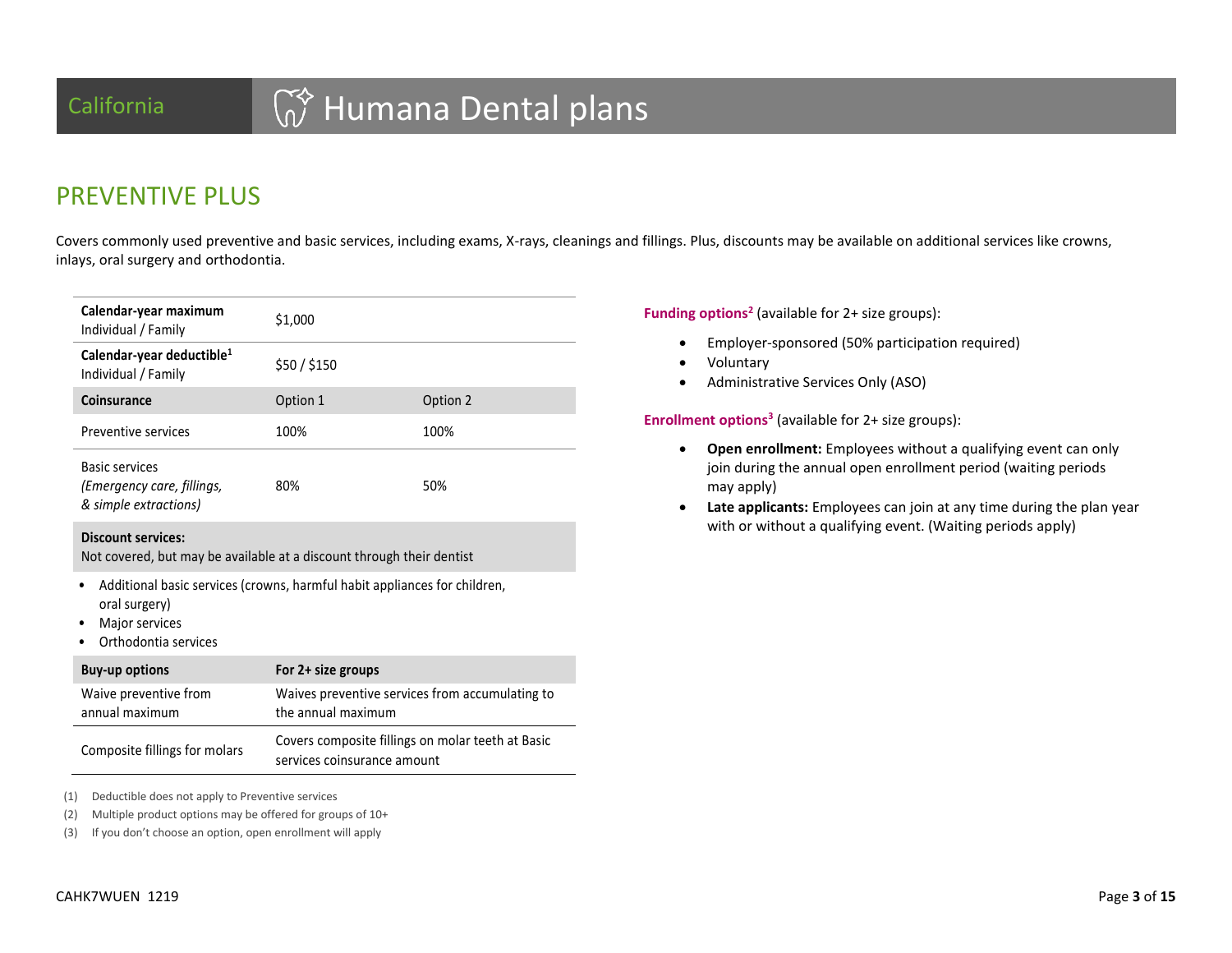## California **GO Humana Dental plans**

## PREVENTIVE PLUS

Covers commonly used preventive and basic services, including exams, X-rays, cleanings and fillings. Plus, discounts may be available on additional services like crowns, inlays, oral surgery and orthodontia.

| Calendar-year maximum<br>Individual / Family                                                                                         | \$1,000            |                                                 |
|--------------------------------------------------------------------------------------------------------------------------------------|--------------------|-------------------------------------------------|
| Calendar-year deductible <sup>1</sup><br>Individual / Family                                                                         | \$50 / \$150       |                                                 |
| Coinsurance                                                                                                                          | Option 1           | Option 2                                        |
| Preventive services                                                                                                                  | 100%               | 100%                                            |
| <b>Basic services</b><br>(Emergency care, fillings,<br>& simple extractions)                                                         | 80%                | 50%                                             |
| <b>Discount services:</b><br>Not covered, but may be available at a discount through their dentist                                   |                    |                                                 |
| Additional basic services (crowns, harmful habit appliances for children,<br>oral surgery)<br>Major services<br>Orthodontia services |                    |                                                 |
| <b>Buy-up options</b>                                                                                                                | For 2+ size groups |                                                 |
| Waive preventive from<br>annual maximum                                                                                              | the annual maximum | Waives preventive services from accumulating to |

| Composite fillings for molars | Covers composite fillings on molar teeth at Basic |
|-------------------------------|---------------------------------------------------|
|                               | services coinsurance amount                       |

(1) Deductible does not apply to Preventive services

(2) Multiple product options may be offered for groups of 10+

(3) If you don't choose an option, open enrollment will apply

**Funding options<sup>2</sup>** (available for 2+ size groups):

- Employer-sponsored (50% participation required)
- Voluntary
- Administrative Services Only (ASO)

**Enrollment options<sup>3</sup>** (available for 2+ size groups):

- **Open enrollment:** Employees without a qualifying event can only join during the annual open enrollment period (waiting periods may apply)
- **Late applicants:** Employees can join at any time during the plan year with or without a qualifying event. (Waiting periods apply)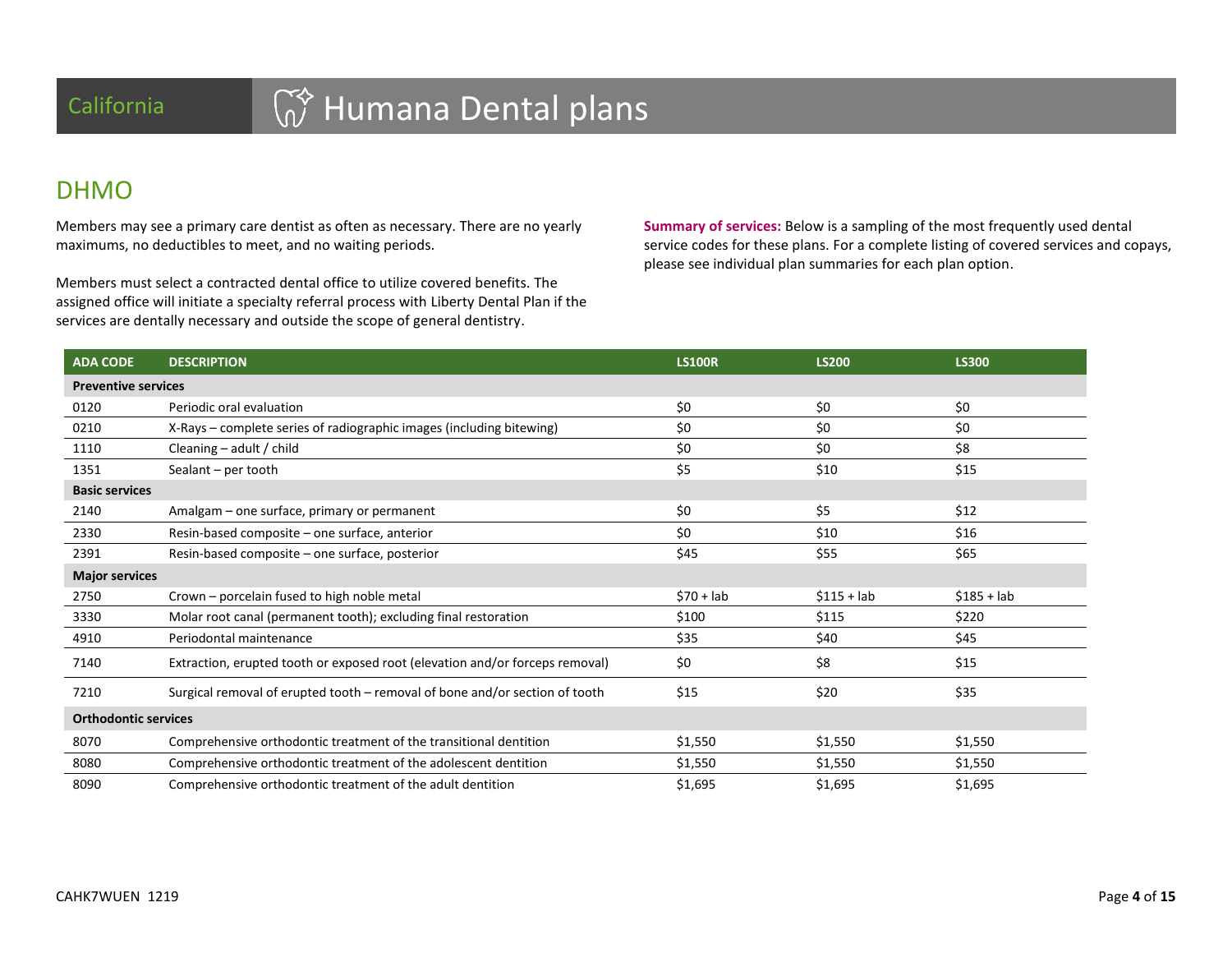# California **GO Humana Dental plans**

### DHMO

Members may see a primary care dentist as often as necessary. There are no yearly maximums, no deductibles to meet, and no waiting periods.

Members must select a contracted dental office to utilize covered benefits. The assigned office will initiate a specialty referral process with Liberty Dental Plan if the services are dentally necessary and outside the scope of general dentistry.

**Summary of services:** Below is a sampling of the most frequently used dental service codes for these plans. For a complete listing of covered services and copays, please see individual plan summaries for each plan option.

| <b>ADA CODE</b>             | <b>DESCRIPTION</b>                                                           | <b>LS100R</b> | <b>LS200</b> | <b>LS300</b> |  |  |
|-----------------------------|------------------------------------------------------------------------------|---------------|--------------|--------------|--|--|
| <b>Preventive services</b>  |                                                                              |               |              |              |  |  |
| 0120                        | Periodic oral evaluation                                                     | \$0           | \$0          | \$0          |  |  |
| 0210                        | X-Rays – complete series of radiographic images (including bitewing)         | \$0           | \$0          | \$0          |  |  |
| 1110                        | Cleaning $-$ adult / child                                                   | \$0           | \$0          | \$8          |  |  |
| 1351                        | Sealant - per tooth                                                          | \$5           | \$10         | \$15         |  |  |
| <b>Basic services</b>       |                                                                              |               |              |              |  |  |
| 2140                        | Amalgam - one surface, primary or permanent                                  | \$0           | \$5          | \$12         |  |  |
| 2330                        | Resin-based composite - one surface, anterior                                | \$0           | \$10         | \$16         |  |  |
| 2391                        | Resin-based composite – one surface, posterior                               | \$45          | \$55         | \$65         |  |  |
| <b>Major services</b>       |                                                                              |               |              |              |  |  |
| 2750                        | Crown – porcelain fused to high noble metal                                  | $$70 + lab$   | $$115 + lab$ | $$185 + lab$ |  |  |
| 3330                        | Molar root canal (permanent tooth); excluding final restoration              | \$100         | \$115        | \$220        |  |  |
| 4910                        | Periodontal maintenance                                                      | \$35          | \$40         | \$45         |  |  |
| 7140                        | Extraction, erupted tooth or exposed root (elevation and/or forceps removal) | \$0           | \$8          | \$15         |  |  |
| 7210                        | Surgical removal of erupted tooth - removal of bone and/or section of tooth  | \$15          | \$20         | \$35         |  |  |
| <b>Orthodontic services</b> |                                                                              |               |              |              |  |  |
| 8070                        | Comprehensive orthodontic treatment of the transitional dentition            | \$1,550       | \$1,550      | \$1,550      |  |  |
| 8080                        | Comprehensive orthodontic treatment of the adolescent dentition              | \$1,550       | \$1,550      | \$1,550      |  |  |
| 8090                        | Comprehensive orthodontic treatment of the adult dentition                   | \$1,695       | \$1,695      | \$1,695      |  |  |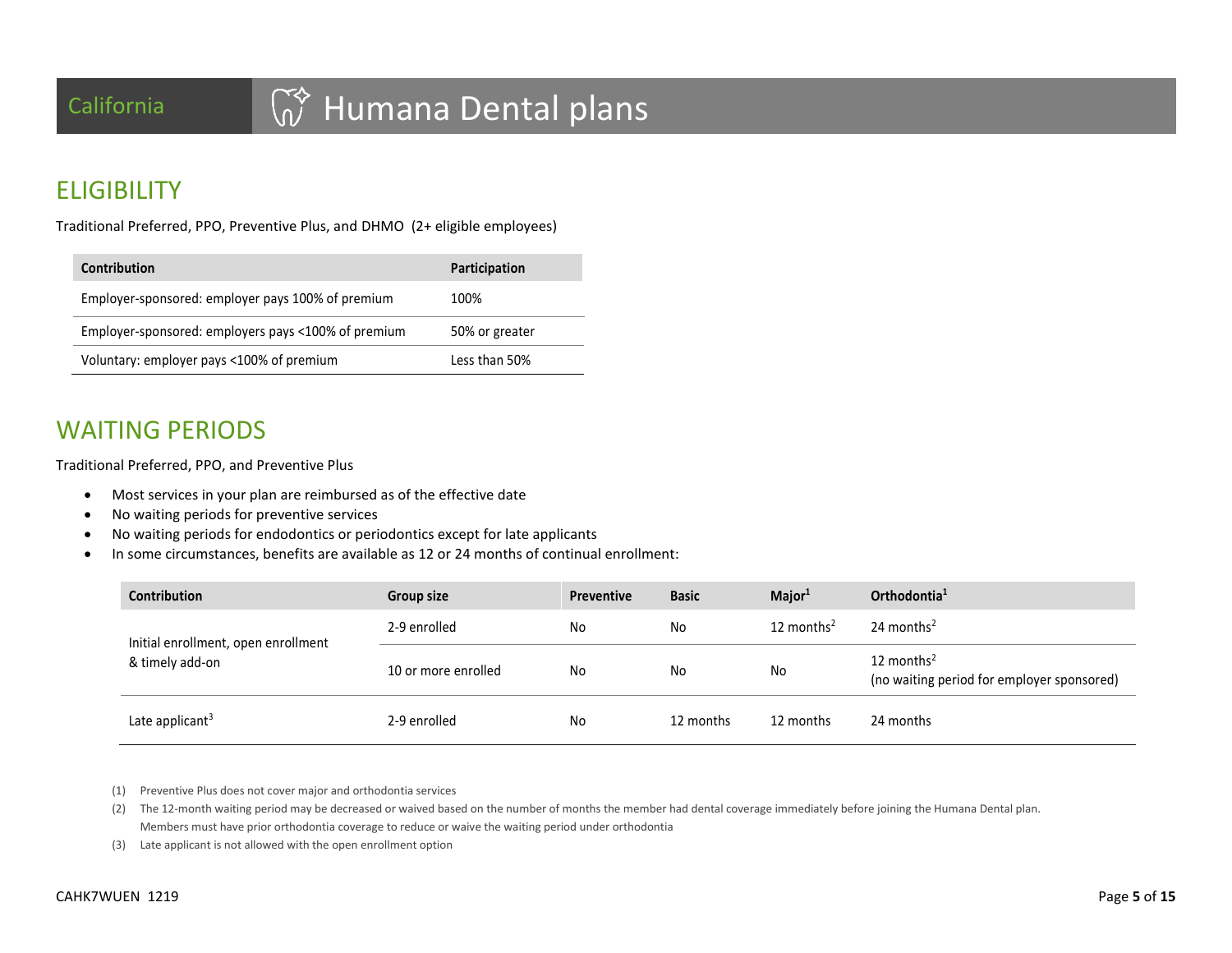## **ELIGIBILITY**

Traditional Preferred, PPO, Preventive Plus, and DHMO (2+ eligible employees)

| <b>Contribution</b>                                 | Participation  |
|-----------------------------------------------------|----------------|
| Employer-sponsored: employer pays 100% of premium   | 100%           |
| Employer-sponsored: employers pays <100% of premium | 50% or greater |
| Voluntary: employer pays <100% of premium           | Less than 50%  |

## WAITING PERIODS

Traditional Preferred, PPO, and Preventive Plus

- Most services in your plan are reimbursed as of the effective date
- No waiting periods for preventive services
- No waiting periods for endodontics or periodontics except for late applicants
- In some circumstances, benefits are available as 12 or 24 months of continual enrollment:

| <b>Contribution</b>                                    | <b>Group size</b>   | <b>Preventive</b> | <b>Basic</b> | Major <sup>1</sup>     | Orthodontia <sup>1</sup>                                             |
|--------------------------------------------------------|---------------------|-------------------|--------------|------------------------|----------------------------------------------------------------------|
| Initial enrollment, open enrollment<br>& timely add-on | 2-9 enrolled        | No                | No           | 12 months <sup>2</sup> | 24 months <sup>2</sup>                                               |
|                                                        | 10 or more enrolled | No                | No           | No                     | 12 months <sup>2</sup><br>(no waiting period for employer sponsored) |
| Late applicant <sup>3</sup>                            | 2-9 enrolled        | No                | 12 months    | 12 months              | 24 months                                                            |

(1) Preventive Plus does not cover major and orthodontia services

(2) The 12-month waiting period may be decreased or waived based on the number of months the member had dental coverage immediately before joining the Humana Dental plan. Members must have prior orthodontia coverage to reduce or waive the waiting period under orthodontia

(3) Late applicant is not allowed with the open enrollment option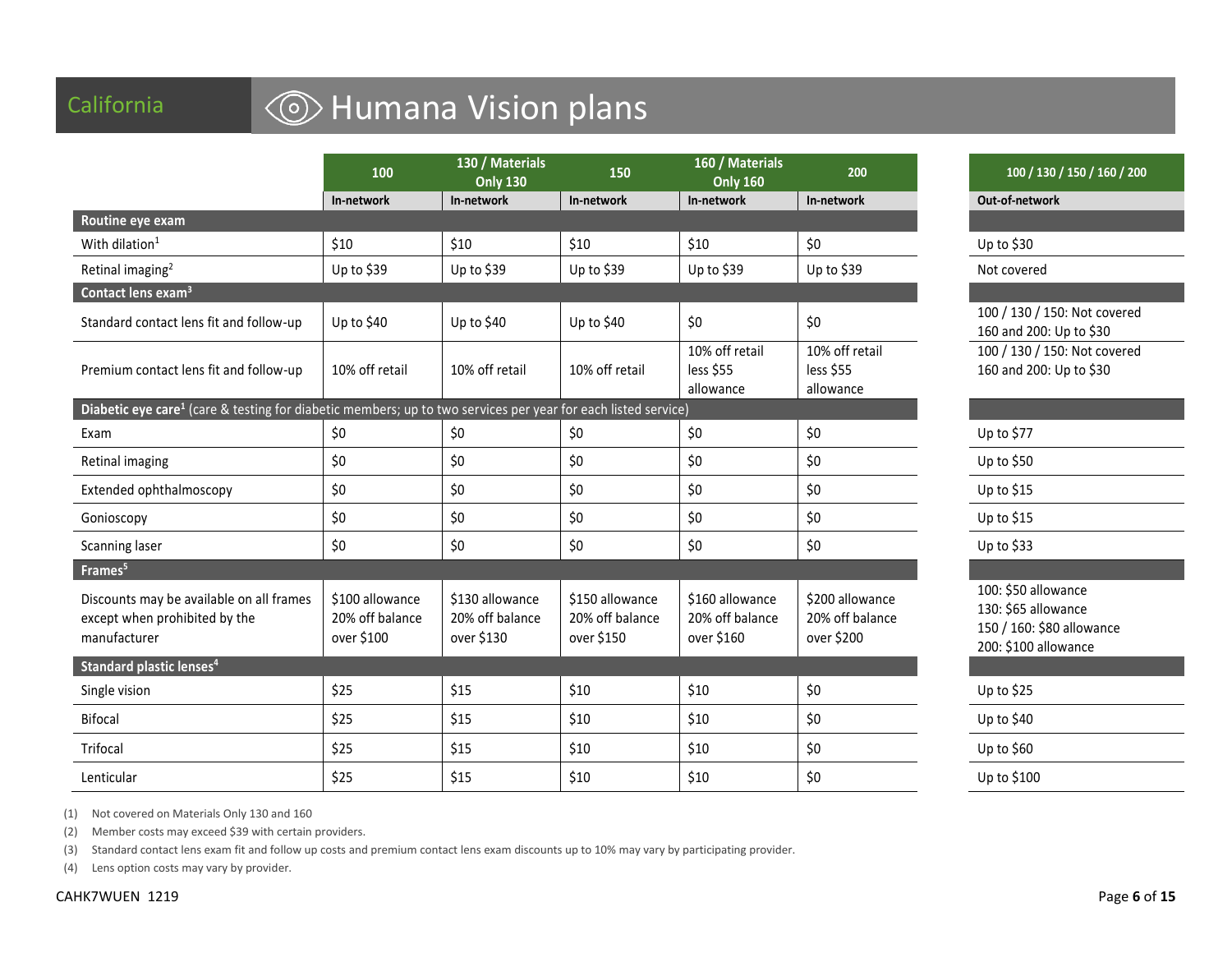## California **Galifornia Galifornia** Galifornia

|                                                                                                                           | 100                                              | 130 / Materials<br><b>Only 130</b>               | 150                                              | 160 / Materials<br><b>Only 160</b>               | 200                                              | 100 / 130 / 150 / 160 / 20                                                                      |
|---------------------------------------------------------------------------------------------------------------------------|--------------------------------------------------|--------------------------------------------------|--------------------------------------------------|--------------------------------------------------|--------------------------------------------------|-------------------------------------------------------------------------------------------------|
|                                                                                                                           | In-network                                       | In-network                                       | In-network                                       | In-network                                       | In-network                                       | Out-of-network                                                                                  |
| Routine eye exam                                                                                                          |                                                  |                                                  |                                                  |                                                  |                                                  |                                                                                                 |
| With dilation <sup>1</sup>                                                                                                | \$10                                             | \$10                                             | \$10                                             | \$10                                             | \$0                                              | Up to $$30$                                                                                     |
| Retinal imaging <sup>2</sup>                                                                                              | Up to \$39                                       | Up to \$39                                       | Up to \$39                                       | Up to \$39                                       | Up to \$39                                       | Not covered                                                                                     |
| Contact lens exam <sup>3</sup>                                                                                            |                                                  |                                                  |                                                  |                                                  |                                                  |                                                                                                 |
| Standard contact lens fit and follow-up                                                                                   | Up to \$40                                       | Up to \$40                                       | Up to \$40                                       | \$0                                              | \$0                                              | 100 / 130 / 150: Not covered<br>160 and 200: Up to \$30                                         |
| Premium contact lens fit and follow-up                                                                                    | 10% off retail                                   | 10% off retail                                   | 10% off retail                                   | 10% off retail<br>less \$55<br>allowance         | 10% off retail<br>less \$55<br>allowance         | 100 / 130 / 150: Not covered<br>160 and 200: Up to \$30                                         |
| Diabetic eye care <sup>1</sup> (care & testing for diabetic members; up to two services per year for each listed service) |                                                  |                                                  |                                                  |                                                  |                                                  |                                                                                                 |
| Exam                                                                                                                      | \$0                                              | \$0                                              | \$0                                              | \$0                                              | \$0                                              | Up to \$77                                                                                      |
| Retinal imaging                                                                                                           | \$0                                              | \$0                                              | \$0                                              | \$0                                              | \$0                                              | Up to \$50                                                                                      |
| Extended ophthalmoscopy                                                                                                   | \$0                                              | \$0                                              | \$0                                              | \$0                                              | \$0                                              | Up to $$15$                                                                                     |
| Gonioscopy                                                                                                                | \$0                                              | \$0                                              | \$0                                              | \$0                                              | \$0                                              | Up to \$15                                                                                      |
| Scanning laser                                                                                                            | \$0                                              | \$0\$                                            | \$0                                              | \$0                                              | \$0                                              | Up to $$33$                                                                                     |
| Frames <sup>5</sup>                                                                                                       |                                                  |                                                  |                                                  |                                                  |                                                  |                                                                                                 |
| Discounts may be available on all frames<br>except when prohibited by the<br>manufacturer                                 | \$100 allowance<br>20% off balance<br>over \$100 | \$130 allowance<br>20% off balance<br>over \$130 | \$150 allowance<br>20% off balance<br>over \$150 | \$160 allowance<br>20% off balance<br>over \$160 | \$200 allowance<br>20% off balance<br>over \$200 | 100: \$50 allowance<br>130: \$65 allowance<br>150 / 160: \$80 allowance<br>200: \$100 allowance |
| Standard plastic lenses <sup>4</sup>                                                                                      |                                                  |                                                  |                                                  |                                                  |                                                  |                                                                                                 |
| Single vision                                                                                                             | \$25                                             | \$15                                             | \$10                                             | \$10                                             | \$0                                              | Up to \$25                                                                                      |
| <b>Bifocal</b>                                                                                                            | \$25                                             | \$15                                             | \$10                                             | \$10                                             | \$0                                              | Up to $$40$                                                                                     |
| Trifocal                                                                                                                  | \$25                                             | \$15                                             | \$10                                             | \$10                                             | \$0                                              | Up to \$60                                                                                      |
| Lenticular                                                                                                                | \$25                                             | \$15                                             | \$10                                             | \$10                                             | \$0                                              | Up to \$100                                                                                     |

**Only 160 <sup>200</sup> 100 / 130 / 150 / 160 / 200**

200: Up to \$30 100 / 150: Not covered 200: Up to \$30

| Up to \$77                                                                                      |
|-------------------------------------------------------------------------------------------------|
| Up to \$50                                                                                      |
| Up to \$15                                                                                      |
| Up to \$15                                                                                      |
| Up to \$33                                                                                      |
|                                                                                                 |
| 100: \$50 allowance<br>130: \$65 allowance<br>150 / 160: \$80 allowance<br>200: \$100 allowance |
|                                                                                                 |
| Up to \$25                                                                                      |
| Up to \$40                                                                                      |
| Up to \$60                                                                                      |
| Up to \$100                                                                                     |
|                                                                                                 |

(1) Not covered on Materials Only 130 and 160

(2) Member costs may exceed \$39 with certain providers.

(3) Standard contact lens exam fit and follow up costs and premium contact lens exam discounts up to 10% may vary by participating provider.

(4) Lens option costs may vary by provider.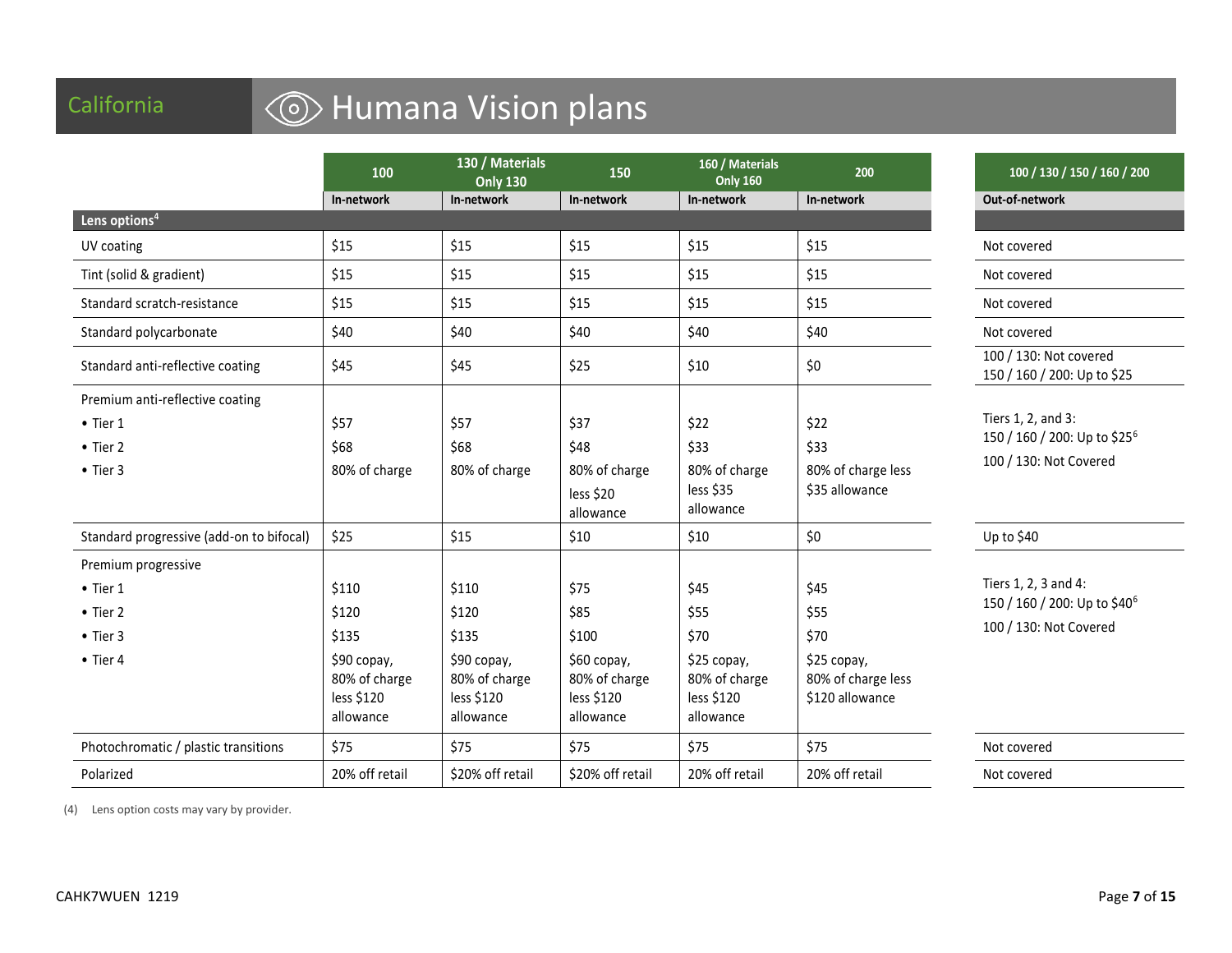## California

# California **Covers Contact Lens** Humana Vision plans

|                                                                                             | 100                                                                                | 130 / Materials<br><b>Only 130</b>                                                 | 150                                                                              | 160 / Materials<br><b>Only 160</b>                                              | 200                                                                          | 100 / 130 / 150 / 160 / 200                                                                |
|---------------------------------------------------------------------------------------------|------------------------------------------------------------------------------------|------------------------------------------------------------------------------------|----------------------------------------------------------------------------------|---------------------------------------------------------------------------------|------------------------------------------------------------------------------|--------------------------------------------------------------------------------------------|
|                                                                                             | In-network                                                                         | In-network                                                                         | In-network                                                                       | In-network                                                                      | In-network                                                                   | Out-of-network                                                                             |
| Lens options <sup>4</sup>                                                                   |                                                                                    |                                                                                    |                                                                                  |                                                                                 |                                                                              |                                                                                            |
| UV coating                                                                                  | \$15                                                                               | \$15                                                                               | \$15                                                                             | \$15                                                                            | \$15                                                                         | Not covered                                                                                |
| Tint (solid & gradient)                                                                     | \$15                                                                               | \$15                                                                               | \$15                                                                             | \$15                                                                            | \$15                                                                         | Not covered                                                                                |
| Standard scratch-resistance                                                                 | \$15                                                                               | \$15                                                                               | \$15                                                                             | \$15                                                                            | \$15                                                                         | Not covered                                                                                |
| Standard polycarbonate                                                                      | \$40                                                                               | \$40                                                                               | \$40                                                                             | \$40                                                                            | \$40                                                                         | Not covered                                                                                |
| Standard anti-reflective coating                                                            | \$45                                                                               | \$45                                                                               | \$25                                                                             | \$10                                                                            | \$0                                                                          | 100 / 130: Not covered<br>150 / 160 / 200: Up to \$25                                      |
| Premium anti-reflective coating<br>$\bullet$ Tier 1<br>$\bullet$ Tier 2<br>$\bullet$ Tier 3 | \$57<br>\$68<br>80% of charge                                                      | \$57<br>\$68<br>80% of charge                                                      | \$37<br>\$48<br>80% of charge<br>less \$20<br>allowance                          | \$22<br>\$33<br>80% of charge<br>less \$35<br>allowance                         | \$22<br>\$33<br>80% of charge less<br>\$35 allowance                         | Tiers 1, 2, and 3:<br>150 / 160 / 200: Up to \$25 <sup>6</sup><br>100 / 130: Not Covered   |
| Standard progressive (add-on to bifocal)                                                    | \$25                                                                               | \$15                                                                               | \$10                                                                             | \$10                                                                            | $$0$$                                                                        | Up to \$40                                                                                 |
| Premium progressive<br>$\bullet$ Tier 1<br>• Tier 2<br>$\bullet$ Tier 3<br>$\bullet$ Tier 4 | \$110<br>\$120<br>\$135<br>\$90 сорау,<br>80% of charge<br>less \$120<br>allowance | \$110<br>\$120<br>\$135<br>\$90 copay,<br>80% of charge<br>less \$120<br>allowance | \$75<br>\$85<br>\$100<br>\$60 copay,<br>80% of charge<br>less \$120<br>allowance | \$45<br>\$55<br>\$70<br>\$25 copay,<br>80% of charge<br>less \$120<br>allowance | \$45<br>\$55<br>\$70<br>\$25 copay,<br>80% of charge less<br>\$120 allowance | Tiers 1, 2, 3 and 4:<br>150 / 160 / 200: Up to \$40 <sup>6</sup><br>100 / 130: Not Covered |
| Photochromatic / plastic transitions                                                        | \$75                                                                               | \$75                                                                               | \$75                                                                             | \$75                                                                            | \$75                                                                         | Not covered                                                                                |
| Polarized                                                                                   | 20% off retail                                                                     | \$20% off retail                                                                   | \$20% off retail                                                                 | 20% off retail                                                                  | 20% off retail                                                               | Not covered                                                                                |

(4) Lens option costs may vary by provider.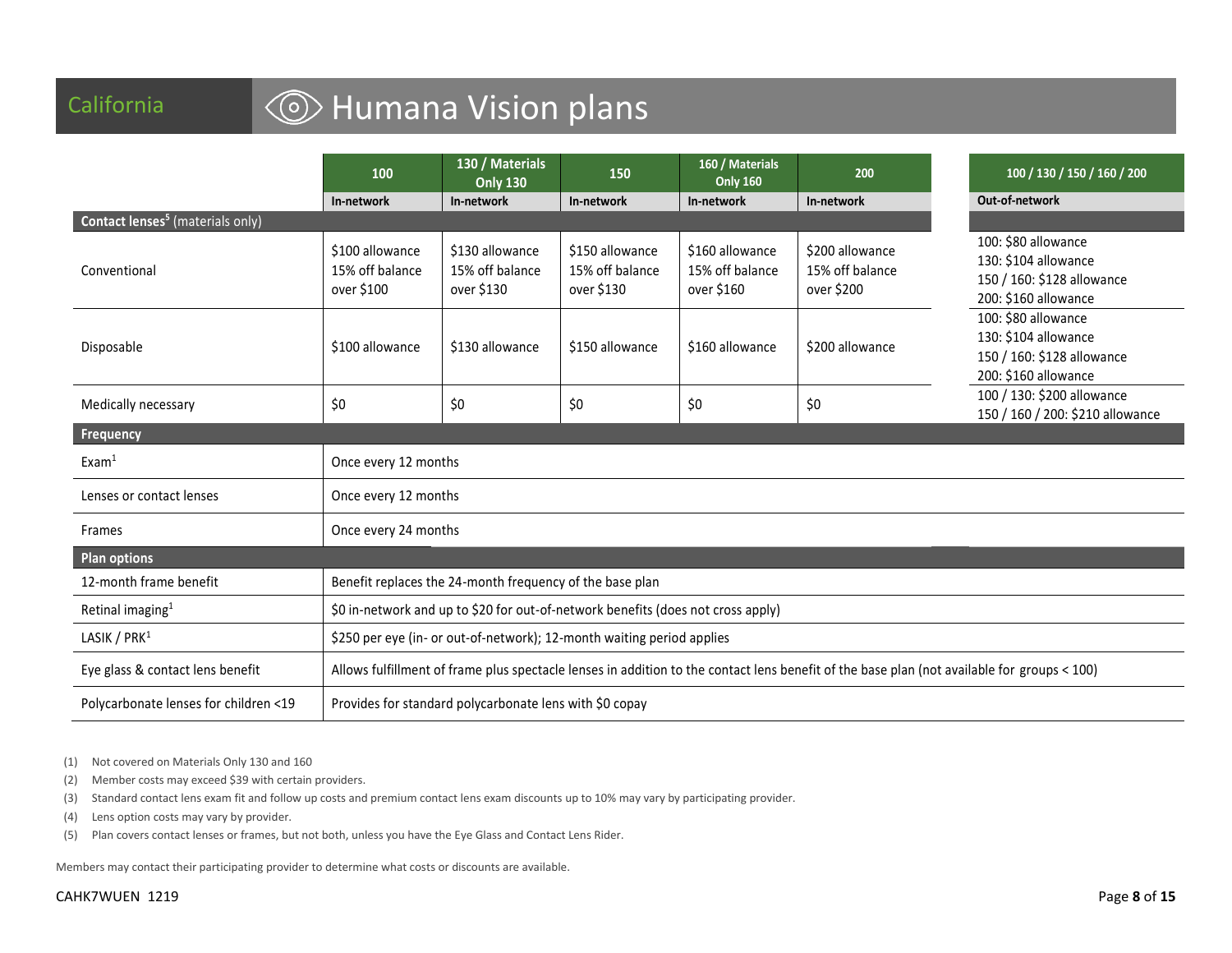# California **Galifornia Galifornia** Galifornia

|                                                    | 100                                                                                                                                         | 130 / Materials<br><b>Only 130</b>               | 150                                              | 160 / Materials<br><b>Only 160</b>               | 200                                              | 100 / 130 / 150 / 160 / 200                                                                       |
|----------------------------------------------------|---------------------------------------------------------------------------------------------------------------------------------------------|--------------------------------------------------|--------------------------------------------------|--------------------------------------------------|--------------------------------------------------|---------------------------------------------------------------------------------------------------|
|                                                    | In-network                                                                                                                                  | In-network                                       | In-network                                       | In-network                                       | In-network                                       | Out-of-network                                                                                    |
| <b>Contact lenses<sup>5</sup></b> (materials only) |                                                                                                                                             |                                                  |                                                  |                                                  |                                                  |                                                                                                   |
| Conventional                                       | \$100 allowance<br>15% off balance<br>over \$100                                                                                            | \$130 allowance<br>15% off balance<br>over \$130 | \$150 allowance<br>15% off balance<br>over \$130 | \$160 allowance<br>15% off balance<br>over \$160 | \$200 allowance<br>15% off balance<br>over \$200 | 100: \$80 allowance<br>130: \$104 allowance<br>150 / 160: \$128 allowance<br>200: \$160 allowance |
| Disposable                                         | \$100 allowance                                                                                                                             | \$130 allowance                                  | \$150 allowance                                  | \$160 allowance                                  | \$200 allowance                                  | 100: \$80 allowance<br>130: \$104 allowance<br>150 / 160: \$128 allowance<br>200: \$160 allowance |
| Medically necessary                                | \$0                                                                                                                                         | \$0                                              | \$0                                              | \$0                                              | \$0                                              | 100 / 130: \$200 allowance<br>150 / 160 / 200: \$210 allowance                                    |
| Frequency                                          |                                                                                                                                             |                                                  |                                                  |                                                  |                                                  |                                                                                                   |
| Exam <sup>1</sup>                                  | Once every 12 months                                                                                                                        |                                                  |                                                  |                                                  |                                                  |                                                                                                   |
| Lenses or contact lenses                           | Once every 12 months                                                                                                                        |                                                  |                                                  |                                                  |                                                  |                                                                                                   |
| Frames                                             | Once every 24 months                                                                                                                        |                                                  |                                                  |                                                  |                                                  |                                                                                                   |
| <b>Plan options</b>                                |                                                                                                                                             |                                                  |                                                  |                                                  |                                                  |                                                                                                   |
| 12-month frame benefit                             | Benefit replaces the 24-month frequency of the base plan                                                                                    |                                                  |                                                  |                                                  |                                                  |                                                                                                   |
| Retinal imaging <sup>1</sup>                       | \$0 in-network and up to \$20 for out-of-network benefits (does not cross apply)                                                            |                                                  |                                                  |                                                  |                                                  |                                                                                                   |
| LASIK / PRK <sup>1</sup>                           | \$250 per eye (in- or out-of-network); 12-month waiting period applies                                                                      |                                                  |                                                  |                                                  |                                                  |                                                                                                   |
| Eye glass & contact lens benefit                   | Allows fulfillment of frame plus spectacle lenses in addition to the contact lens benefit of the base plan (not available for groups < 100) |                                                  |                                                  |                                                  |                                                  |                                                                                                   |
| Polycarbonate lenses for children <19              | Provides for standard polycarbonate lens with \$0 copay                                                                                     |                                                  |                                                  |                                                  |                                                  |                                                                                                   |

(1) Not covered on Materials Only 130 and 160

(2) Member costs may exceed \$39 with certain providers.

(3) Standard contact lens exam fit and follow up costs and premium contact lens exam discounts up to 10% may vary by participating provider.

(4) Lens option costs may vary by provider.

(5) Plan covers contact lenses or frames, but not both, unless you have the Eye Glass and Contact Lens Rider.

Members may contact their participating provider to determine what costs or discounts are available.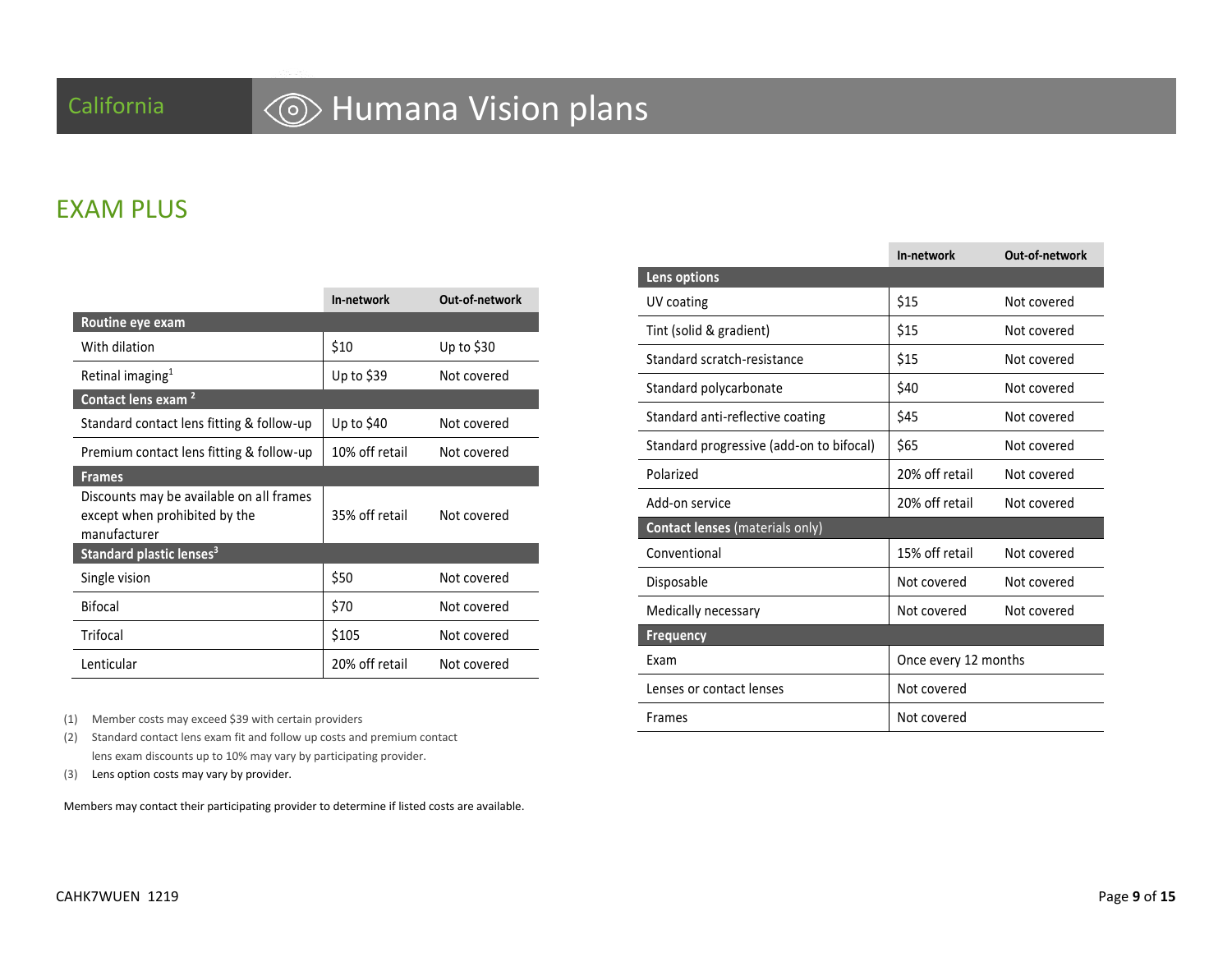# California **Galifornia Humana Vision plans**

### EXAM PLUS

|                                                                                           | In-network     | Out-of-network |
|-------------------------------------------------------------------------------------------|----------------|----------------|
| Routine eye exam                                                                          |                |                |
| With dilation                                                                             | \$10           | Up to \$30     |
| Retinal imaging <sup>1</sup>                                                              | Up to $$39$    | Not covered    |
| Contact lens exam <sup>2</sup>                                                            |                |                |
| Standard contact lens fitting & follow-up                                                 | Up to \$40     | Not covered    |
| Premium contact lens fitting & follow-up                                                  | 10% off retail | Not covered    |
| <b>Frames</b>                                                                             |                |                |
| Discounts may be available on all frames<br>except when prohibited by the<br>manufacturer | 35% off retail | Not covered    |
| Standard plastic lenses <sup>3</sup>                                                      |                |                |
| Single vision                                                                             | \$50           | Not covered    |
| <b>Bifocal</b>                                                                            | \$70           | Not covered    |
| Trifocal                                                                                  | \$105          | Not covered    |
| Lenticular                                                                                | 20% off retail | Not covered    |

(1) Member costs may exceed \$39 with certain providers

(2) Standard contact lens exam fit and follow up costs and premium contact lens exam discounts up to 10% may vary by participating provider.

(3) Lens option costs may vary by provider.

Members may contact their participating provider to determine if listed costs are available.

|                                          | In-network           | Out-of-network |
|------------------------------------------|----------------------|----------------|
| Lens options                             |                      |                |
| UV coating                               | \$15                 | Not covered    |
| Tint (solid & gradient)                  | \$15                 | Not covered    |
| Standard scratch-resistance              | \$15                 | Not covered    |
| Standard polycarbonate                   | \$40                 | Not covered    |
| Standard anti-reflective coating         | \$45                 | Not covered    |
| Standard progressive (add-on to bifocal) | \$65                 | Not covered    |
| Polarized                                | 20% off retail       | Not covered    |
| Add-on service                           | 20% off retail       | Not covered    |
| <b>Contact lenses</b> (materials only)   |                      |                |
| Conventional                             | 15% off retail       | Not covered    |
| Disposable                               | Not covered          | Not covered    |
| Medically necessary                      | Not covered          | Not covered    |
| <b>Frequency</b>                         |                      |                |
| Exam                                     | Once every 12 months |                |
| Lenses or contact lenses                 | Not covered          |                |
| <b>Frames</b>                            | Not covered          |                |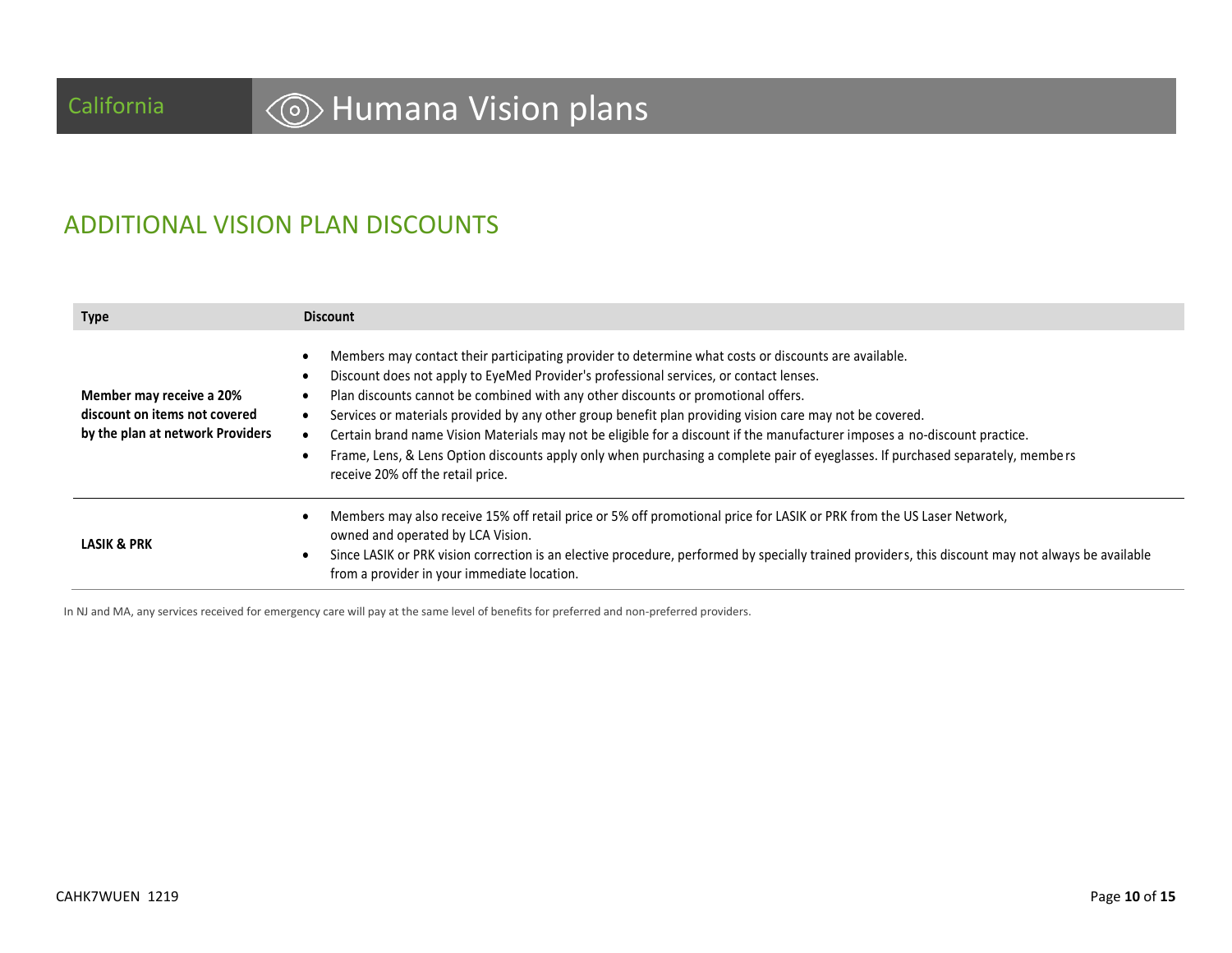# California **Galifornia Humana Vision plans**

## ADDITIONAL VISION PLAN DISCOUNTS

| <b>Type</b>                                                                                   | <b>Discount</b>                                                                                                                                                                                                                                                                                                                                                                                                                                                                                                                                                                                                                                                                                       |
|-----------------------------------------------------------------------------------------------|-------------------------------------------------------------------------------------------------------------------------------------------------------------------------------------------------------------------------------------------------------------------------------------------------------------------------------------------------------------------------------------------------------------------------------------------------------------------------------------------------------------------------------------------------------------------------------------------------------------------------------------------------------------------------------------------------------|
| Member may receive a 20%<br>discount on items not covered<br>by the plan at network Providers | Members may contact their participating provider to determine what costs or discounts are available.<br>Discount does not apply to EyeMed Provider's professional services, or contact lenses.<br>Plan discounts cannot be combined with any other discounts or promotional offers.<br>Services or materials provided by any other group benefit plan providing vision care may not be covered.<br>Certain brand name Vision Materials may not be eligible for a discount if the manufacturer imposes a no-discount practice.<br>Frame, Lens, & Lens Option discounts apply only when purchasing a complete pair of eyeglasses. If purchased separately, members<br>receive 20% off the retail price. |
| <b>LASIK &amp; PRK</b>                                                                        | Members may also receive 15% off retail price or 5% off promotional price for LASIK or PRK from the US Laser Network,<br>owned and operated by LCA Vision.<br>Since LASIK or PRK vision correction is an elective procedure, performed by specially trained providers, this discount may not always be available<br>from a provider in your immediate location.                                                                                                                                                                                                                                                                                                                                       |

In NJ and MA, any services received for emergency care will pay at the same level of benefits for preferred and non-preferred providers.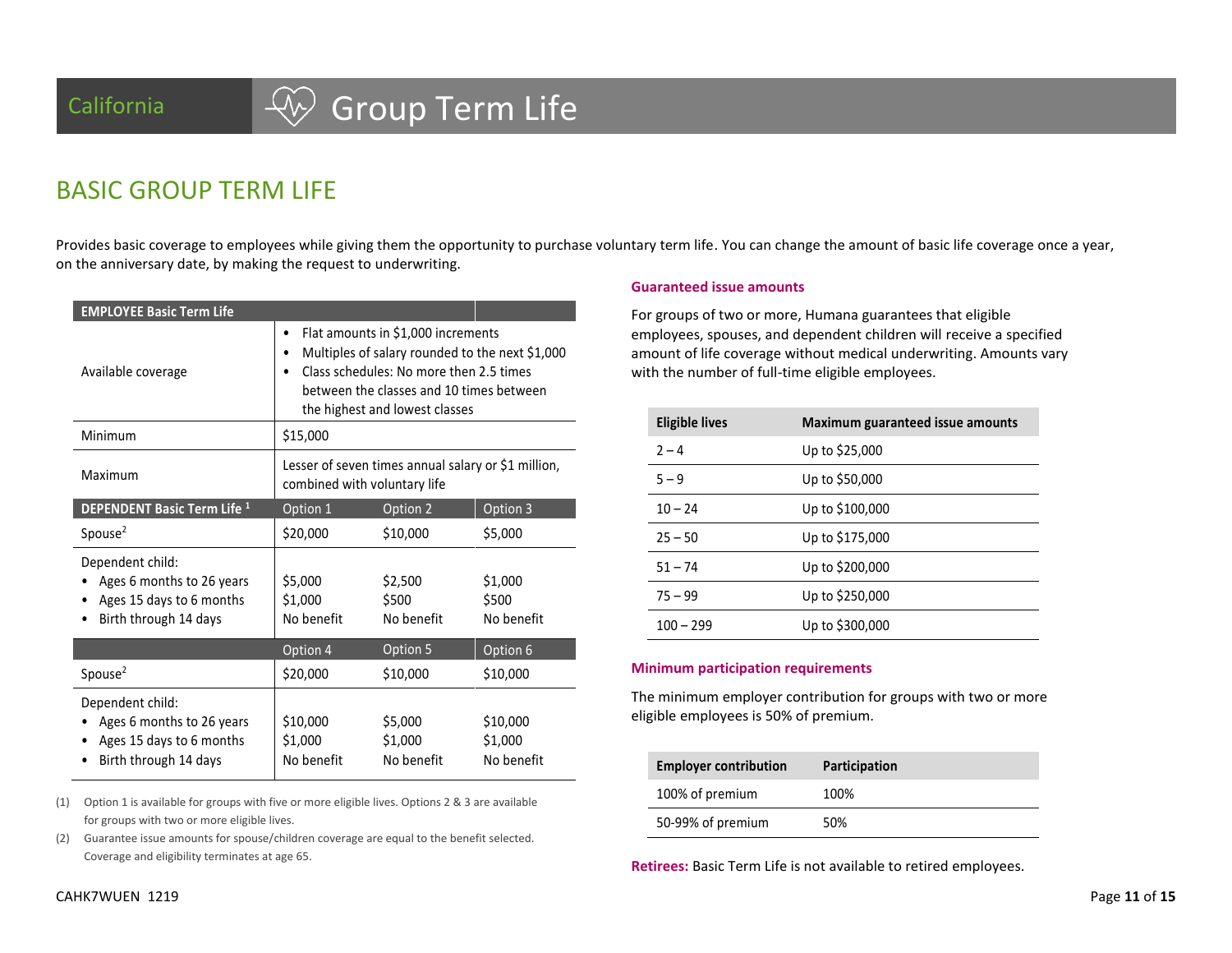# California  $\left\{\begin{matrix} \sqrt{\begin{matrix} 1 \end{matrix}} \end{matrix}\right\}$  Group Term Life

### BASIC GROUP TERM LIFE

Provides basic coverage to employees while giving them the opportunity to purchase voluntary term life. You can change the amount of basic life coverage once a year, on the anniversary date, by making the request to underwriting.

| <b>EMPLOYEE Basic Term Life</b>                                                                    |                                                                                                                                                                                                                |                                  |                                   |  |  |
|----------------------------------------------------------------------------------------------------|----------------------------------------------------------------------------------------------------------------------------------------------------------------------------------------------------------------|----------------------------------|-----------------------------------|--|--|
| Available coverage                                                                                 | Flat amounts in \$1,000 increments<br>Multiples of salary rounded to the next \$1,000<br>Class schedules: No more then 2.5 times<br>between the classes and 10 times between<br>the highest and lowest classes |                                  |                                   |  |  |
| Minimum                                                                                            | \$15,000                                                                                                                                                                                                       |                                  |                                   |  |  |
| Maximum                                                                                            | Lesser of seven times annual salary or \$1 million,<br>combined with voluntary life                                                                                                                            |                                  |                                   |  |  |
| <b>DEPENDENT Basic Term Life 1</b>                                                                 | Option 1                                                                                                                                                                                                       | Option 2                         | Option 3                          |  |  |
| Spouse <sup>2</sup>                                                                                | \$20,000                                                                                                                                                                                                       | \$10,000                         | \$5,000                           |  |  |
| Dependent child:<br>Ages 6 months to 26 years<br>Ages 15 days to 6 months<br>Birth through 14 days | \$5,000<br>\$1,000<br>No benefit                                                                                                                                                                               | \$2,500<br>\$500<br>No benefit   | \$1,000<br>\$500<br>No benefit    |  |  |
|                                                                                                    | Option 4                                                                                                                                                                                                       | Option 5                         | Option 6                          |  |  |
| Spouse <sup>2</sup>                                                                                | \$20,000                                                                                                                                                                                                       | \$10,000                         | \$10,000                          |  |  |
| Dependent child:<br>Ages 6 months to 26 years<br>Ages 15 days to 6 months<br>Birth through 14 days | \$10,000<br>\$1,000<br>No benefit                                                                                                                                                                              | \$5,000<br>\$1,000<br>No benefit | \$10,000<br>\$1,000<br>No benefit |  |  |

(1) Option 1 is available for groups with five or more eligible lives. Options 2 & 3 are available for groups with two or more eligible lives.

(2) Guarantee issue amounts for spouse/children coverage are equal to the benefit selected. Coverage and eligibility terminates at age 65.

### **Guaranteed issue amounts**

For groups of two or more, Humana guarantees that eligible employees, spouses, and dependent children will receive a specified amount of life coverage without medical underwriting. Amounts vary with the number of full-time eligible employees.

| <b>Eligible lives</b> | Maximum guaranteed issue amounts |
|-----------------------|----------------------------------|
| $2 - 4$               | Up to \$25,000                   |
| $5 - 9$               | Up to \$50,000                   |
| $10 - 24$             | Up to \$100,000                  |
| $25 - 50$             | Up to \$175,000                  |
| $51 - 74$             | Up to \$200,000                  |
| $75 - 99$             | Up to \$250,000                  |
| $100 - 299$           | Up to \$300,000                  |

### **Minimum participation requirements**

The minimum employer contribution for groups with two or more eligible employees is 50% of premium.

| <b>Employer contribution</b> | Participation |
|------------------------------|---------------|
| 100% of premium              | 100%          |
| 50-99% of premium            | 50%           |

**Retirees:** Basic Term Life is not available to retired employees.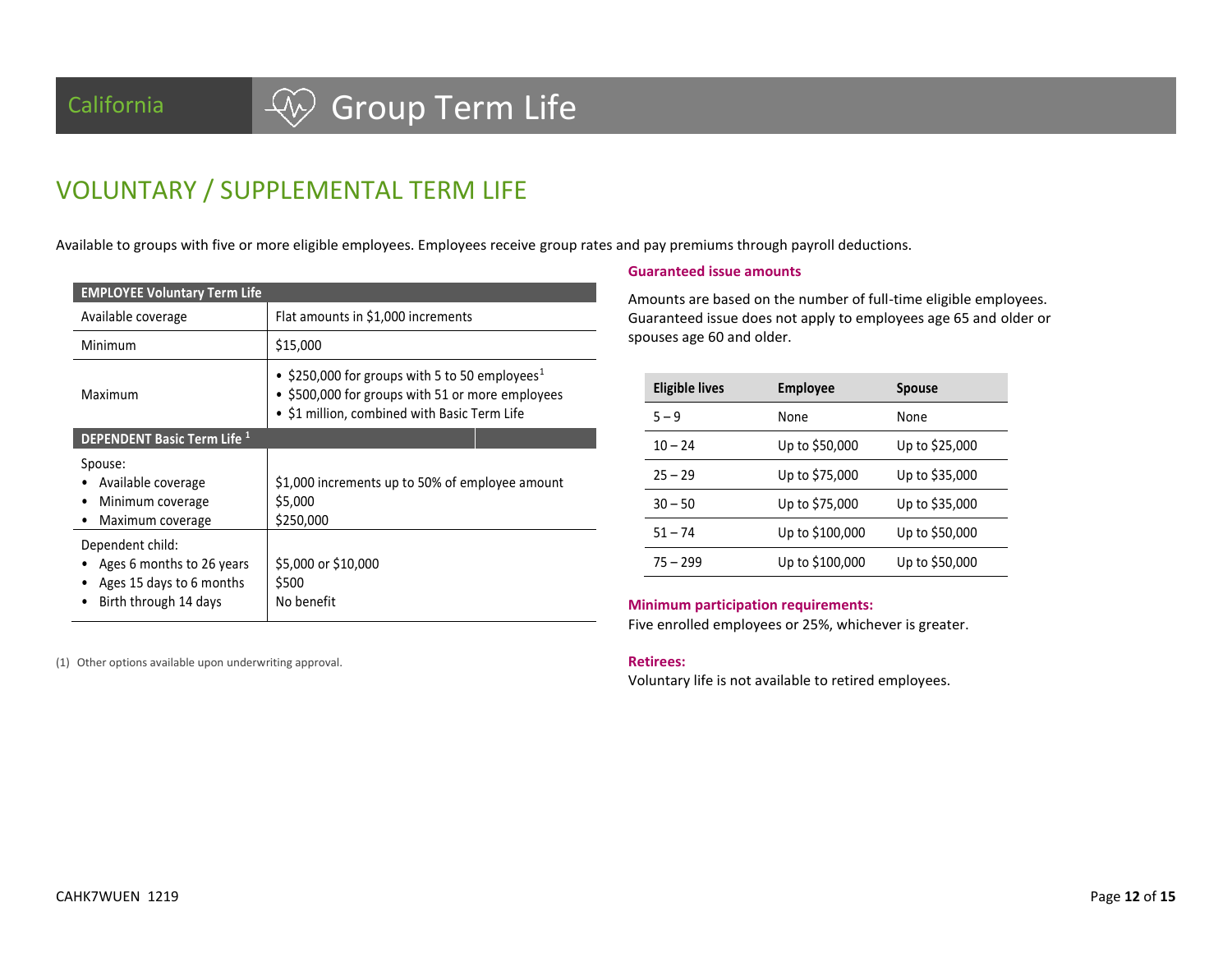# California  $\sqrt{W}$  Group Term Life

## VOLUNTARY / SUPPLEMENTAL TERM LIFE

Available to groups with five or more eligible employees. Employees receive group rates and pay premiums through payroll deductions.

| <b>EMPLOYEE Voluntary Term Life</b>                                                                |                                                                                                                                                                |
|----------------------------------------------------------------------------------------------------|----------------------------------------------------------------------------------------------------------------------------------------------------------------|
| Available coverage                                                                                 | Flat amounts in \$1,000 increments                                                                                                                             |
| Minimum                                                                                            | \$15,000                                                                                                                                                       |
| Maximum                                                                                            | • \$250,000 for groups with 5 to 50 employees <sup>1</sup><br>• \$500,000 for groups with 51 or more employees<br>• \$1 million, combined with Basic Term Life |
| <b>DEPENDENT Basic Term Life 1</b>                                                                 |                                                                                                                                                                |
| Spouse:<br>Available coverage<br>Minimum coverage<br>Maximum coverage                              | \$1,000 increments up to 50% of employee amount<br>\$5,000<br>\$250,000                                                                                        |
| Dependent child:<br>Ages 6 months to 26 years<br>Ages 15 days to 6 months<br>Birth through 14 days | \$5,000 or \$10,000<br>\$500<br>No benefit                                                                                                                     |

### **Guaranteed issue amounts**

Amounts are based on the number of full-time eligible employees. Guaranteed issue does not apply to employees age 65 and older or spouses age 60 and older.

| <b>Eligible lives</b> | <b>Employee</b> | <b>Spouse</b>  |
|-----------------------|-----------------|----------------|
| $5 - 9$               | None            | None           |
| $10 - 24$             | Up to \$50,000  | Up to \$25,000 |
| $25 - 29$             | Up to \$75,000  | Up to \$35,000 |
| $30 - 50$             | Up to \$75,000  | Up to \$35,000 |
| $51 - 74$             | Up to \$100,000 | Up to \$50,000 |
| $75 - 299$            | Up to \$100,000 | Up to \$50,000 |

#### **Minimum participation requirements:**

Five enrolled employees or 25%, whichever is greater.

#### **Retirees:**

Voluntary life is not available to retired employees.

(1) Other options available upon underwriting approval.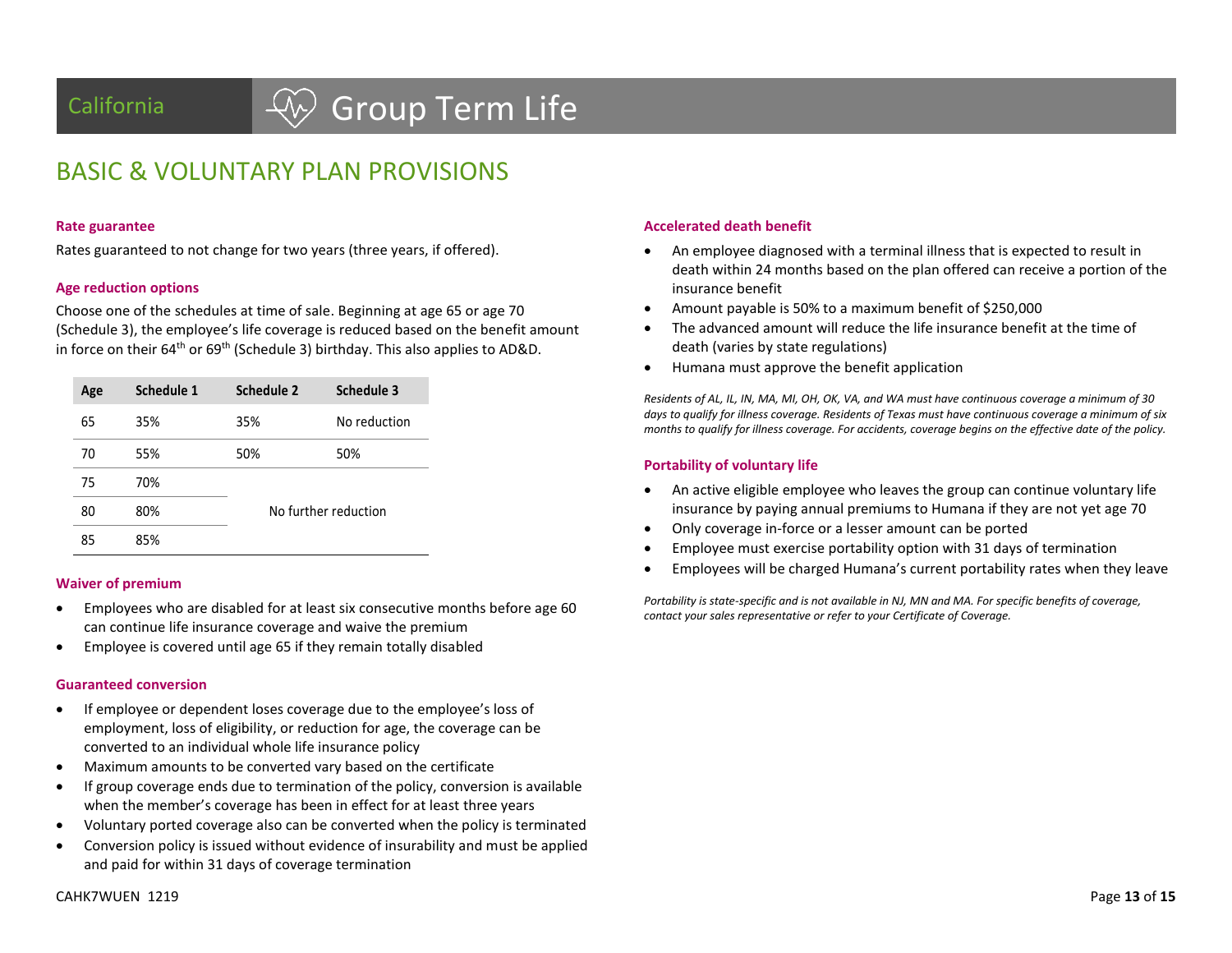# California  $\left\{\begin{matrix} \sqrt{\lambda} \\ \end{matrix}\right\}$  Group Term Life

## BASIC & VOLUNTARY PLAN PROVISIONS

#### **Rate guarantee**

Rates guaranteed to not change for two years (three years, if offered).

#### **Age reduction options**

Choose one of the schedules at time of sale. Beginning at age 65 or age 70 (Schedule 3), the employee's life coverage is reduced based on the benefit amount in force on their  $64<sup>th</sup>$  or  $69<sup>th</sup>$  (Schedule 3) birthday. This also applies to AD&D.

| Age | Schedule 1 | <b>Schedule 2</b> | Schedule 3           |
|-----|------------|-------------------|----------------------|
| 65  | 35%        | 35%               | No reduction         |
| 70  | 55%        | 50%               | 50%                  |
| 75  | 70%        |                   |                      |
| 80  | 80%        |                   | No further reduction |
| 85  | 85%        |                   |                      |

### **Waiver of premium**

- Employees who are disabled for at least six consecutive months before age 60 can continue life insurance coverage and waive the premium
- Employee is covered until age 65 if they remain totally disabled

#### **Guaranteed conversion**

- If employee or dependent loses coverage due to the employee's loss of employment, loss of eligibility, or reduction for age, the coverage can be converted to an individual whole life insurance policy
- Maximum amounts to be converted vary based on the certificate
- If group coverage ends due to termination of the policy, conversion is available when the member's coverage has been in effect for at least three years
- Voluntary ported coverage also can be converted when the policy is terminated
- Conversion policy is issued without evidence of insurability and must be applied and paid for within 31 days of coverage termination

### **Accelerated death benefit**

- An employee diagnosed with a terminal illness that is expected to result in death within 24 months based on the plan offered can receive a portion of the insurance benefit
- Amount payable is 50% to a maximum benefit of \$250,000
- The advanced amount will reduce the life insurance benefit at the time of death (varies by state regulations)
- Humana must approve the benefit application

*Residents of AL, IL, IN, MA, MI, OH, OK, VA, and WA must have continuous coverage a minimum of 30 days to qualify for illness coverage. Residents of Texas must have continuous coverage a minimum of six months to qualify for illness coverage. For accidents, coverage begins on the effective date of the policy.*

#### **Portability of voluntary life**

- An active eligible employee who leaves the group can continue voluntary life insurance by paying annual premiums to Humana if they are not yet age 70
- Only coverage in-force or a lesser amount can be ported
- Employee must exercise portability option with 31 days of termination
- Employees will be charged Humana's current portability rates when they leave

*Portability is state-specific and is not available in NJ, MN and MA. For specific benefits of coverage, contact your sales representative or refer to your Certificate of Coverage.*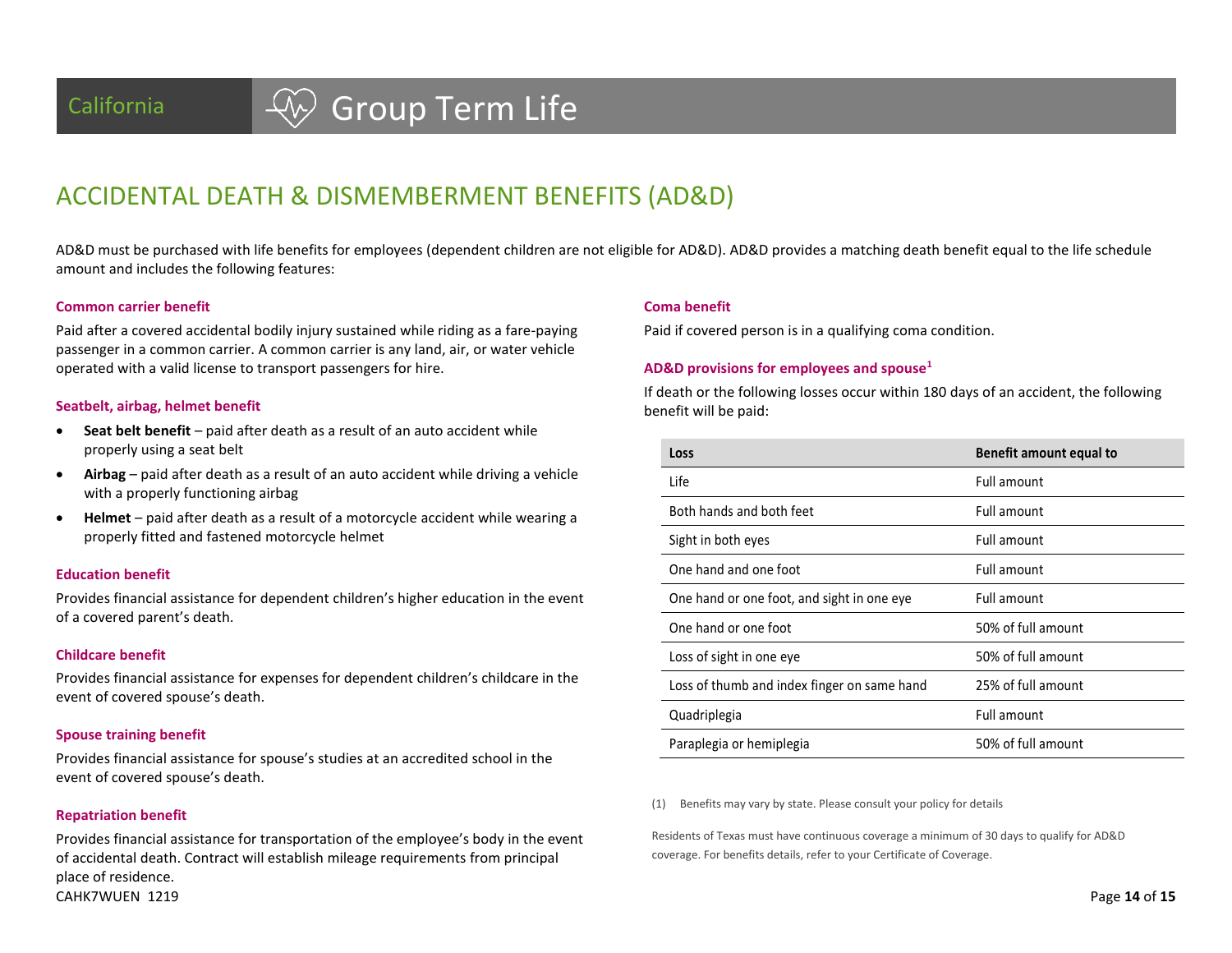## California  $\left\{\begin{matrix} \sqrt{\lambda} \\ \end{matrix}\right\}$  Group Term Life

### ACCIDENTAL DEATH & DISMEMBERMENT BENEFITS (AD&D)

AD&D must be purchased with life benefits for employees (dependent children are not eligible for AD&D). AD&D provides a matching death benefit equal to the life schedule amount and includes the following features:

**Coma benefit**

#### **Common carrier benefit**

Paid after a covered accidental bodily injury sustained while riding as a fare-paying passenger in a common carrier. A common carrier is any land, air, or water vehicle operated with a valid license to transport passengers for hire.

#### **Seatbelt, airbag, helmet benefit**

- **Seat belt benefit** paid after death as a result of an auto accident while properly using a seat belt
- **Airbag** paid after death as a result of an auto accident while driving a vehicle with a properly functioning airbag
- **Helmet** paid after death as a result of a motorcycle accident while wearing a properly fitted and fastened motorcycle helmet

#### **Education benefit**

Provides financial assistance for dependent children's higher education in the event of a covered parent's death.

#### **Childcare benefit**

Provides financial assistance for expenses for dependent children's childcare in the event of covered spouse's death.

#### **Spouse training benefit**

Provides financial assistance for spouse's studies at an accredited school in the event of covered spouse's death.

#### **Repatriation benefit**

CAHK7WUEN 1219 Page **14** of **15** Provides financial assistance for transportation of the employee's body in the event of accidental death. Contract will establish mileage requirements from principal place of residence.

If death or the following losses occur within 180 days of an accident, the following benefit will be paid:

Paid if covered person is in a qualifying coma condition.

**AD&D provisions for employees and spouse<sup>1</sup>**

| Loss                                        | Benefit amount equal to |
|---------------------------------------------|-------------------------|
| Life                                        | Full amount             |
| Both hands and both feet                    | Full amount             |
| Sight in both eyes                          | Full amount             |
| One hand and one foot                       | Full amount             |
| One hand or one foot, and sight in one eye  | Full amount             |
| One hand or one foot                        | 50% of full amount      |
| Loss of sight in one eye                    | 50% of full amount      |
| Loss of thumb and index finger on same hand | 25% of full amount      |
| Quadriplegia                                | Full amount             |
| Paraplegia or hemiplegia                    | 50% of full amount      |

(1) Benefits may vary by state. Please consult your policy for details

Residents of Texas must have continuous coverage a minimum of 30 days to qualify for AD&D coverage. For benefits details, refer to your Certificate of Coverage.